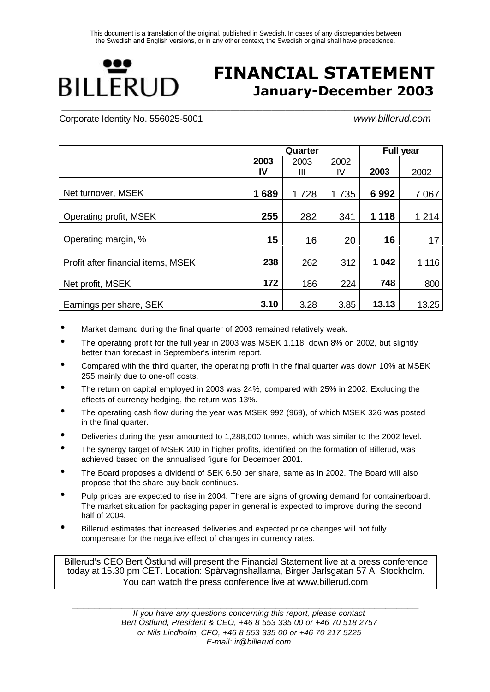

# **FINANCIAL STATEMENT January-December 2003**

Corporate Identity No. 556025-5001 *www.billerud.com*

|                                    |      | Quarter |      | <b>Full year</b> |         |  |
|------------------------------------|------|---------|------|------------------|---------|--|
|                                    | 2003 | 2003    | 2002 |                  |         |  |
|                                    | IV   | Ш       | IV   | 2003             | 2002    |  |
|                                    |      |         |      |                  |         |  |
| Net turnover, MSEK                 | 1689 | 1728    | 1735 | 6992             | 7067    |  |
| Operating profit, MSEK             | 255  | 282     | 341  | 1 1 1 8          | 1 2 1 4 |  |
| Operating margin, %                | 15   | 16      | 20   | 16               | 17      |  |
| Profit after financial items, MSEK | 238  | 262     | 312  | 1 0 4 2          | 1 1 1 6 |  |
| Net profit, MSEK                   | 172  | 186     | 224  | 748              | 800     |  |
| Earnings per share, SEK            | 3.10 | 3.28    | 3.85 | 13.13            | 13.25   |  |

- Market demand during the final quarter of 2003 remained relatively weak.
- The operating profit for the full year in 2003 was MSEK 1,118, down 8% on 2002, but slightly better than forecast in September's interim report.
- Compared with the third quarter, the operating profit in the final quarter was down 10% at MSEK 255 mainly due to one-off costs.
- The return on capital employed in 2003 was 24%, compared with 25% in 2002. Excluding the effects of currency hedging, the return was 13%.
- The operating cash flow during the year was MSEK 992 (969), of which MSEK 326 was posted in the final quarter.
- Deliveries during the year amounted to 1,288,000 tonnes, which was similar to the 2002 level.
- The synergy target of MSEK 200 in higher profits, identified on the formation of Billerud, was achieved based on the annualised figure for December 2001.
- The Board proposes a dividend of SEK 6.50 per share, same as in 2002. The Board will also propose that the share buy-back continues.
- Pulp prices are expected to rise in 2004. There are signs of growing demand for containerboard. The market situation for packaging paper in general is expected to improve during the second half of 2004.
- Billerud estimates that increased deliveries and expected price changes will not fully compensate for the negative effect of changes in currency rates.

Billerud's CEO Bert Östlund will present the Financial Statement live at a press conference today at 15.30 pm CET. Location: Spårvagnshallarna, Birger Jarlsgatan 57 A, Stockholm. You can watch the press conference live at www.billerud.com

\_\_\_\_\_\_\_\_\_\_\_\_\_\_\_\_\_\_\_\_\_\_\_\_\_\_\_\_\_\_\_\_\_\_\_\_\_\_\_\_\_\_\_\_\_\_\_\_\_\_\_\_\_\_\_\_\_\_\_\_\_\_\_ *If you have any questions concerning this report, please contact Bert Östlund, President & CEO, +46 8 553 335 00 or +46 70 518 2757 or Nils Lindholm, CFO, +46 8 553 335 00 or +46 70 217 5225 E-mail: ir@billerud.com*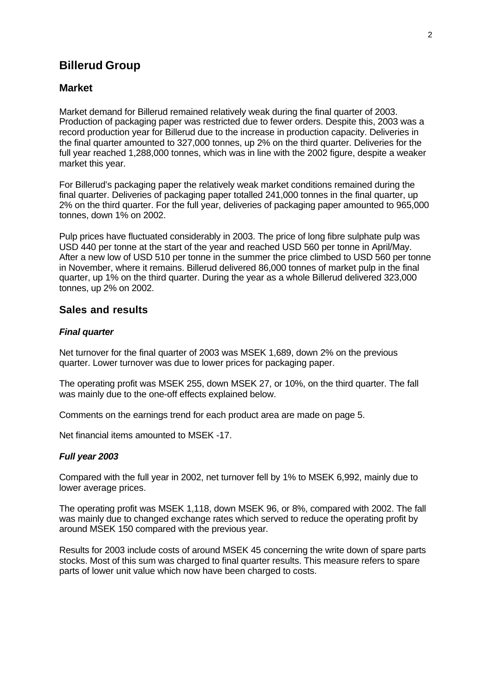## **Billerud Group**

### **Market**

Market demand for Billerud remained relatively weak during the final quarter of 2003. Production of packaging paper was restricted due to fewer orders. Despite this, 2003 was a record production year for Billerud due to the increase in production capacity. Deliveries in the final quarter amounted to 327,000 tonnes, up 2% on the third quarter. Deliveries for the full year reached 1,288,000 tonnes, which was in line with the 2002 figure, despite a weaker market this year.

For Billerud's packaging paper the relatively weak market conditions remained during the final quarter. Deliveries of packaging paper totalled 241,000 tonnes in the final quarter, up 2% on the third quarter. For the full year, deliveries of packaging paper amounted to 965,000 tonnes, down 1% on 2002.

Pulp prices have fluctuated considerably in 2003. The price of long fibre sulphate pulp was USD 440 per tonne at the start of the year and reached USD 560 per tonne in April/May. After a new low of USD 510 per tonne in the summer the price climbed to USD 560 per tonne in November, where it remains. Billerud delivered 86,000 tonnes of market pulp in the final quarter, up 1% on the third quarter. During the year as a whole Billerud delivered 323,000 tonnes, up 2% on 2002.

### **Sales and results**

#### *Final quarter*

Net turnover for the final quarter of 2003 was MSEK 1,689, down 2% on the previous quarter. Lower turnover was due to lower prices for packaging paper.

The operating profit was MSEK 255, down MSEK 27, or 10%, on the third quarter. The fall was mainly due to the one-off effects explained below.

Comments on the earnings trend for each product area are made on page 5.

Net financial items amounted to MSEK -17.

#### *Full year 2003*

Compared with the full year in 2002, net turnover fell by 1% to MSEK 6,992, mainly due to lower average prices.

The operating profit was MSEK 1,118, down MSEK 96, or 8%, compared with 2002. The fall was mainly due to changed exchange rates which served to reduce the operating profit by around MSEK 150 compared with the previous year.

Results for 2003 include costs of around MSEK 45 concerning the write down of spare parts stocks. Most of this sum was charged to final quarter results. This measure refers to spare parts of lower unit value which now have been charged to costs.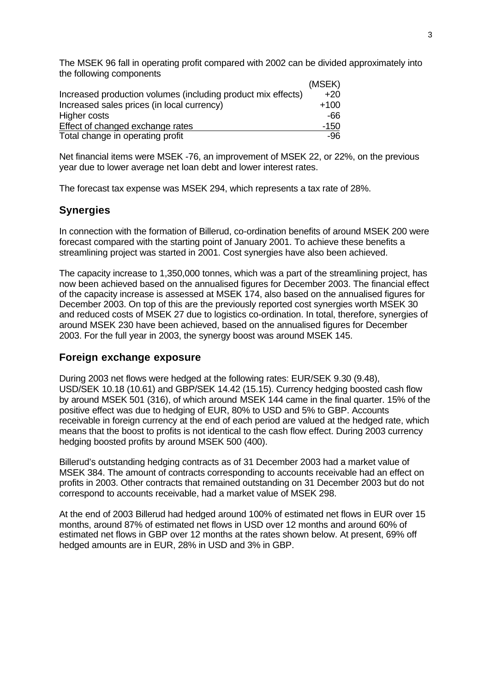The MSEK 96 fall in operating profit compared with 2002 can be divided approximately into the following components

|                                                              | (MSEK) |
|--------------------------------------------------------------|--------|
| Increased production volumes (including product mix effects) | $+20$  |
| Increased sales prices (in local currency)                   | $+100$ |
| Higher costs                                                 | -66    |
| Effect of changed exchange rates                             | $-150$ |
| Total change in operating profit                             | -96    |

Net financial items were MSEK -76, an improvement of MSEK 22, or 22%, on the previous year due to lower average net loan debt and lower interest rates.

The forecast tax expense was MSEK 294, which represents a tax rate of 28%.

### **Synergies**

In connection with the formation of Billerud, co-ordination benefits of around MSEK 200 were forecast compared with the starting point of January 2001. To achieve these benefits a streamlining project was started in 2001. Cost synergies have also been achieved.

The capacity increase to 1,350,000 tonnes, which was a part of the streamlining project, has now been achieved based on the annualised figures for December 2003. The financial effect of the capacity increase is assessed at MSEK 174, also based on the annualised figures for December 2003. On top of this are the previously reported cost synergies worth MSEK 30 and reduced costs of MSEK 27 due to logistics co-ordination. In total, therefore, synergies of around MSEK 230 have been achieved, based on the annualised figures for December 2003. For the full year in 2003, the synergy boost was around MSEK 145.

### **Foreign exchange exposure**

During 2003 net flows were hedged at the following rates: EUR/SEK 9.30 (9.48), USD/SEK 10.18 (10.61) and GBP/SEK 14.42 (15.15). Currency hedging boosted cash flow by around MSEK 501 (316), of which around MSEK 144 came in the final quarter. 15% of the positive effect was due to hedging of EUR, 80% to USD and 5% to GBP. Accounts receivable in foreign currency at the end of each period are valued at the hedged rate, which means that the boost to profits is not identical to the cash flow effect. During 2003 currency hedging boosted profits by around MSEK 500 (400).

Billerud's outstanding hedging contracts as of 31 December 2003 had a market value of MSEK 384. The amount of contracts corresponding to accounts receivable had an effect on profits in 2003. Other contracts that remained outstanding on 31 December 2003 but do not correspond to accounts receivable, had a market value of MSEK 298.

At the end of 2003 Billerud had hedged around 100% of estimated net flows in EUR over 15 months, around 87% of estimated net flows in USD over 12 months and around 60% of estimated net flows in GBP over 12 months at the rates shown below. At present, 69% off hedged amounts are in EUR, 28% in USD and 3% in GBP.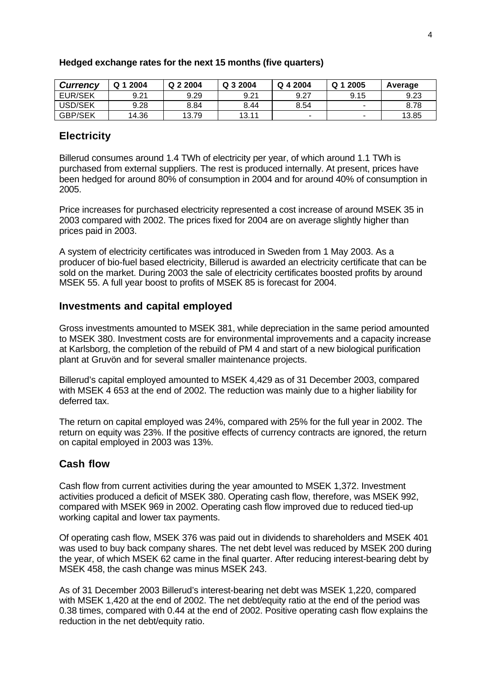| <b>Currency</b> | Q 1 2004 | Q 2 2004 | Q 3 2004 | Q 4 2004                 | Q 1 2005 | Average |
|-----------------|----------|----------|----------|--------------------------|----------|---------|
| EUR/SEK         | 9.21     | 9.29     | 9.21     | 9.27                     | 9.15     | 9.23    |
| USD/SEK         | 9.28     | 8.84     | 8.44     | 8.54                     | -        | 8.78    |
| <b>GBP/SEK</b>  | 14.36    | 13.79    | 13.11    | $\overline{\phantom{0}}$ | -        | 13.85   |

#### **Hedged exchange rates for the next 15 months (five quarters)**

### **Electricity**

Billerud consumes around 1.4 TWh of electricity per year, of which around 1.1 TWh is purchased from external suppliers. The rest is produced internally. At present, prices have been hedged for around 80% of consumption in 2004 and for around 40% of consumption in 2005.

Price increases for purchased electricity represented a cost increase of around MSEK 35 in 2003 compared with 2002. The prices fixed for 2004 are on average slightly higher than prices paid in 2003.

A system of electricity certificates was introduced in Sweden from 1 May 2003. As a producer of bio-fuel based electricity, Billerud is awarded an electricity certificate that can be sold on the market. During 2003 the sale of electricity certificates boosted profits by around MSEK 55. A full year boost to profits of MSEK 85 is forecast for 2004.

### **Investments and capital employed**

Gross investments amounted to MSEK 381, while depreciation in the same period amounted to MSEK 380. Investment costs are for environmental improvements and a capacity increase at Karlsborg, the completion of the rebuild of PM 4 and start of a new biological purification plant at Gruvön and for several smaller maintenance projects.

Billerud's capital employed amounted to MSEK 4,429 as of 31 December 2003, compared with MSEK 4 653 at the end of 2002. The reduction was mainly due to a higher liability for deferred tax.

The return on capital employed was 24%, compared with 25% for the full year in 2002. The return on equity was 23%. If the positive effects of currency contracts are ignored, the return on capital employed in 2003 was 13%.

### **Cash flow**

Cash flow from current activities during the year amounted to MSEK 1,372. Investment activities produced a deficit of MSEK 380. Operating cash flow, therefore, was MSEK 992, compared with MSEK 969 in 2002. Operating cash flow improved due to reduced tied-up working capital and lower tax payments.

Of operating cash flow, MSEK 376 was paid out in dividends to shareholders and MSEK 401 was used to buy back company shares. The net debt level was reduced by MSEK 200 during the year, of which MSEK 62 came in the final quarter. After reducing interest-bearing debt by MSEK 458, the cash change was minus MSEK 243.

As of 31 December 2003 Billerud's interest-bearing net debt was MSEK 1,220, compared with MSEK 1,420 at the end of 2002. The net debt/equity ratio at the end of the period was 0.38 times, compared with 0.44 at the end of 2002. Positive operating cash flow explains the reduction in the net debt/equity ratio.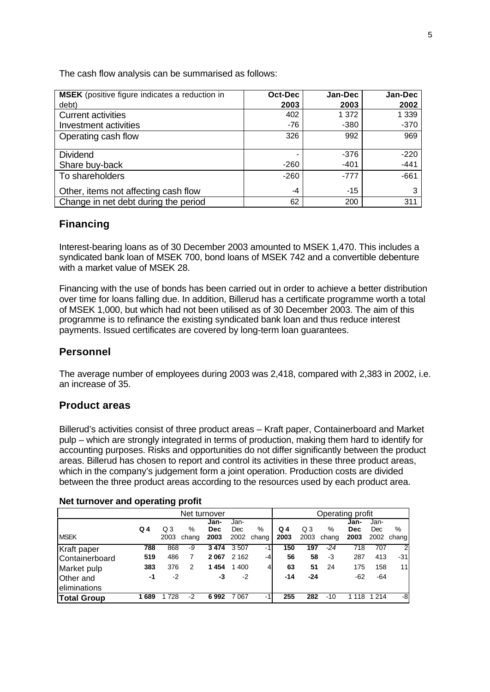| <b>MSEK</b> (positive figure indicates a reduction in | Oct-Dec | Jan-Dec | Jan-Dec |
|-------------------------------------------------------|---------|---------|---------|
| debt)                                                 | 2003    | 2003    | 2002    |
| <b>Current activities</b>                             | 402     | 1 372   | 1 3 3 9 |
| Investment activities                                 | $-76$   | $-380$  | $-370$  |
| Operating cash flow                                   | 326     | 992     | 969     |
|                                                       |         |         |         |
| <b>Dividend</b>                                       |         | $-376$  | $-220$  |
| Share buy-back                                        | $-260$  | $-401$  | $-441$  |
| To shareholders                                       | $-260$  | $-777$  | $-661$  |
| Other, items not affecting cash flow                  | -4      | $-15$   | 3       |
| Change in net debt during the period                  | 62      | 200     | 311     |

The cash flow analysis can be summarised as follows:

### **Financing**

Interest-bearing loans as of 30 December 2003 amounted to MSEK 1,470. This includes a syndicated bank loan of MSEK 700, bond loans of MSEK 742 and a convertible debenture with a market value of MSEK 28.

Financing with the use of bonds has been carried out in order to achieve a better distribution over time for loans falling due. In addition, Billerud has a certificate programme worth a total of MSEK 1,000, but which had not been utilised as of 30 December 2003. The aim of this programme is to refinance the existing syndicated bank loan and thus reduce interest payments. Issued certificates are covered by long-term loan guarantees.

### **Personnel**

The average number of employees during 2003 was 2,418, compared with 2,383 in 2002, i.e. an increase of 35.

### **Product areas**

Billerud's activities consist of three product areas – Kraft paper, Containerboard and Market pulp – which are strongly integrated in terms of production, making them hard to identify for accounting purposes. Risks and opportunities do not differ significantly between the product areas. Billerud has chosen to report and control its activities in these three product areas, which in the company's judgement form a joint operation. Production costs are divided between the three product areas according to the resources used by each product area.

#### **Net turnover and operating profit**

| Net turnover          |     |            |       |            | Operating profit |               |       |      |       |            |         |        |
|-----------------------|-----|------------|-------|------------|------------------|---------------|-------|------|-------|------------|---------|--------|
|                       |     |            |       | Jan-       | Jan-             |               |       |      |       | Jan-       | Jan-    |        |
|                       | Q 4 | $\Omega$ 3 | %     | <b>Dec</b> | Dec              | $\frac{0}{0}$ | $Q_4$ | Q3   | %     | <b>Dec</b> | Dec     | %      |
| <b>MSEK</b>           |     | 2003       | chang | 2003       | 2002             | chang         | 2003  | 2003 | chang | 2003       | 2002    | changl |
| Kraft paper           | 788 | 868        | -9    | 3474       | 3507             | $-1$          | 150   | 197  | $-24$ | 718        | 707     | 2      |
| <b>Containerboard</b> | 519 | 486        | 7     | 2067       | 2 1 6 2          | $-4$          | 56    | 58   | -3    | 287        | 413     | -31    |
| Market pulp           | 383 | 376        | 2     | 1454       | 1 400            | 4             | 63    | 51   | 24    | 175        | 158     | 11     |
| Other and             | -1  | -2         |       | -3         | -2               |               | $-14$ | -24  |       | $-62$      | -64     |        |
| eliminations          |     |            |       |            |                  |               |       |      |       |            |         |        |
| <b>Total Group</b>    | 689 | 728        | -2    | 6992       | 7067             | $-1$          | 255   | 282  | -10   | 1 1 1 8    | 1 2 1 4 | -8     |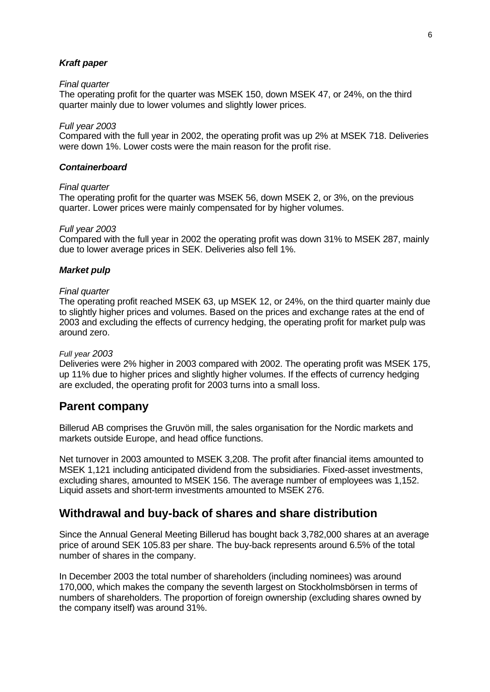#### *Kraft paper*

#### *Final quarter*

The operating profit for the quarter was MSEK 150, down MSEK 47, or 24%, on the third quarter mainly due to lower volumes and slightly lower prices.

#### *Full year 2003*

Compared with the full year in 2002, the operating profit was up 2% at MSEK 718. Deliveries were down 1%. Lower costs were the main reason for the profit rise.

#### *Containerboard*

#### *Final quarter*

The operating profit for the quarter was MSEK 56, down MSEK 2, or 3%, on the previous quarter. Lower prices were mainly compensated for by higher volumes.

#### *Full year 2003*

Compared with the full year in 2002 the operating profit was down 31% to MSEK 287, mainly due to lower average prices in SEK. Deliveries also fell 1%.

#### *Market pulp*

#### *Final quarter*

The operating profit reached MSEK 63, up MSEK 12, or 24%, on the third quarter mainly due to slightly higher prices and volumes. Based on the prices and exchange rates at the end of 2003 and excluding the effects of currency hedging, the operating profit for market pulp was around zero.

#### *Full year 2003*

Deliveries were 2% higher in 2003 compared with 2002. The operating profit was MSEK 175, up 11% due to higher prices and slightly higher volumes. If the effects of currency hedging are excluded, the operating profit for 2003 turns into a small loss.

### **Parent company**

Billerud AB comprises the Gruvön mill, the sales organisation for the Nordic markets and markets outside Europe, and head office functions.

Net turnover in 2003 amounted to MSEK 3,208. The profit after financial items amounted to MSEK 1,121 including anticipated dividend from the subsidiaries. Fixed-asset investments, excluding shares, amounted to MSEK 156. The average number of employees was 1,152. Liquid assets and short-term investments amounted to MSEK 276.

### **Withdrawal and buy-back of shares and share distribution**

Since the Annual General Meeting Billerud has bought back 3,782,000 shares at an average price of around SEK 105.83 per share. The buy-back represents around 6.5% of the total number of shares in the company.

In December 2003 the total number of shareholders (including nominees) was around 170,000, which makes the company the seventh largest on Stockholmsbörsen in terms of numbers of shareholders. The proportion of foreign ownership (excluding shares owned by the company itself) was around 31%.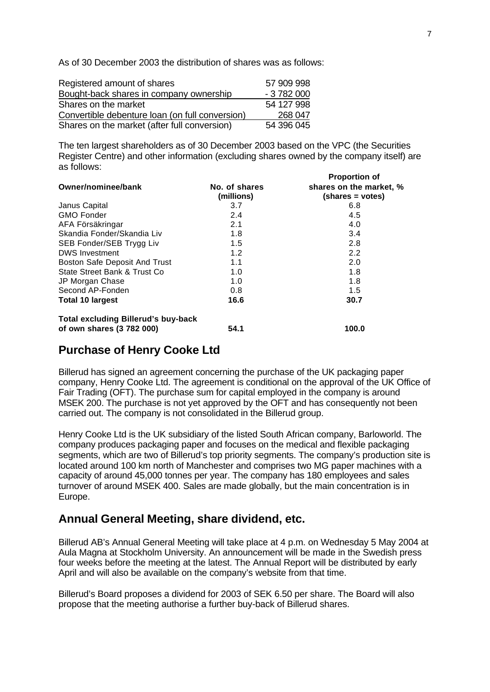As of 30 December 2003 the distribution of shares was as follows:

| Registered amount of shares                     | 57 909 998 |
|-------------------------------------------------|------------|
| Bought-back shares in company ownership         | $-3782000$ |
| Shares on the market                            | 54 127 998 |
| Convertible debenture loan (on full conversion) | 268 047    |
| Shares on the market (after full conversion)    | 54 396 045 |

The ten largest shareholders as of 30 December 2003 based on the VPC (the Securities Register Centre) and other information (excluding shares owned by the company itself) are as follows:

|                                            |                             | <b>Proportion of</b>                        |
|--------------------------------------------|-----------------------------|---------------------------------------------|
| Owner/nominee/bank                         | No. of shares<br>(millions) | shares on the market, %<br>(shares = votes) |
| Janus Capital                              | 3.7                         | 6.8                                         |
| <b>GMO Fonder</b>                          | 2.4                         | 4.5                                         |
| AFA Försäkringar                           | 2.1                         | 4.0                                         |
| Skandia Fonder/Skandia Liv                 | 1.8                         | 3.4                                         |
| SEB Fonder/SEB Trygg Liv                   | 1.5                         | 2.8                                         |
| <b>DWS Investment</b>                      | 1.2                         | 2.2                                         |
| Boston Safe Deposit And Trust              | 1.1                         | 2.0                                         |
| State Street Bank & Trust Co               | 1.0                         | 1.8                                         |
| JP Morgan Chase                            | 1.0                         | 1.8                                         |
| Second AP-Fonden                           | 0.8                         | 1.5                                         |
| <b>Total 10 largest</b>                    | 16.6                        | 30.7                                        |
| <b>Total excluding Billerud's buy-back</b> |                             |                                             |
| of own shares (3 782 000)                  | 54.1                        | 100.0                                       |

### **Purchase of Henry Cooke Ltd**

Billerud has signed an agreement concerning the purchase of the UK packaging paper company, Henry Cooke Ltd. The agreement is conditional on the approval of the UK Office of Fair Trading (OFT). The purchase sum for capital employed in the company is around MSEK 200. The purchase is not yet approved by the OFT and has consequently not been carried out. The company is not consolidated in the Billerud group.

Henry Cooke Ltd is the UK subsidiary of the listed South African company, Barloworld. The company produces packaging paper and focuses on the medical and flexible packaging segments, which are two of Billerud's top priority segments. The company's production site is located around 100 km north of Manchester and comprises two MG paper machines with a capacity of around 45,000 tonnes per year. The company has 180 employees and sales turnover of around MSEK 400. Sales are made globally, but the main concentration is in Europe.

### **Annual General Meeting, share dividend, etc.**

Billerud AB's Annual General Meeting will take place at 4 p.m. on Wednesday 5 May 2004 at Aula Magna at Stockholm University. An announcement will be made in the Swedish press four weeks before the meeting at the latest. The Annual Report will be distributed by early April and will also be available on the company's website from that time.

Billerud's Board proposes a dividend for 2003 of SEK 6.50 per share. The Board will also propose that the meeting authorise a further buy-back of Billerud shares.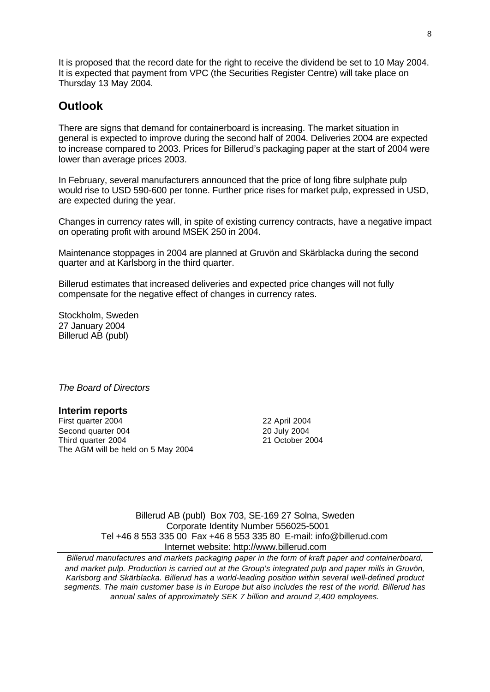It is proposed that the record date for the right to receive the dividend be set to 10 May 2004. It is expected that payment from VPC (the Securities Register Centre) will take place on Thursday 13 May 2004.

### **Outlook**

There are signs that demand for containerboard is increasing. The market situation in general is expected to improve during the second half of 2004. Deliveries 2004 are expected to increase compared to 2003. Prices for Billerud's packaging paper at the start of 2004 were lower than average prices 2003.

In February, several manufacturers announced that the price of long fibre sulphate pulp would rise to USD 590-600 per tonne. Further price rises for market pulp, expressed in USD, are expected during the year.

Changes in currency rates will, in spite of existing currency contracts, have a negative impact on operating profit with around MSEK 250 in 2004.

Maintenance stoppages in 2004 are planned at Gruvön and Skärblacka during the second quarter and at Karlsborg in the third quarter.

Billerud estimates that increased deliveries and expected price changes will not fully compensate for the negative effect of changes in currency rates.

Stockholm, Sweden 27 January 2004 Billerud AB (publ)

*The Board of Directors*

#### **Interim reports**

First quarter 2004 22 April 2004 Second quarter 004 20 July 2004 Third quarter 2004 21 October 2004 The AGM will be held on 5 May 2004

Billerud AB (publ) Box 703, SE-169 27 Solna, Sweden Corporate Identity Number 556025-5001 Tel +46 8 553 335 00 Fax +46 8 553 335 80 E-mail: info@billerud.com Internet website: http://www.billerud.com

*Billerud manufactures and markets packaging paper in the form of kraft paper and containerboard, and market pulp. Production is carried out at the Group's integrated pulp and paper mills in Gruvön, Karlsborg and Skärblacka. Billerud has a world-leading position within several well-defined product segments. The main customer base is in Europe but also includes the rest of the world. Billerud has annual sales of approximately SEK 7 billion and around 2,400 employees.*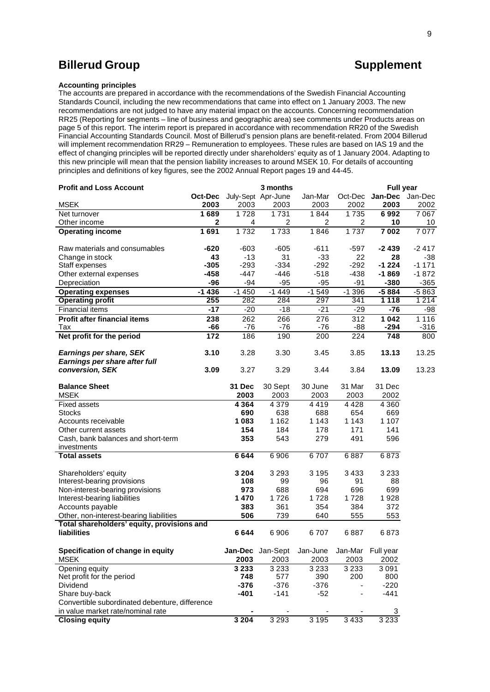### **Billerud Group Contract Contract Contract Contract Contract Contract Contract Contract Contract Contract Contract Contract Contract Contract Contract Contract Contract Contract Contract Contract Contract Contract Contra**

#### **Accounting principles**

The accounts are prepared in accordance with the recommendations of the Swedish Financial Accounting Standards Council, including the new recommendations that came into effect on 1 January 2003. The new recommendations are not judged to have any material impact on the accounts. Concerning recommendation RR25 (Reporting for segments – line of business and geographic area) see comments under Products areas on page 5 of this report. The interim report is prepared in accordance with recommendation RR20 of the Swedish Financial Accounting Standards Council. Most of Billerud's pension plans are benefit-related. From 2004 Billerud will implement recommendation RR29 – Remuneration to employees. These rules are based on IAS 19 and the effect of changing principles will be reported directly under shareholders' equity as of 1 January 2004. Adapting to this new principle will mean that the pension liability increases to around MSEK 10. For details of accounting principles and definitions of key figures, see the 2002 Annual Report pages 19 and 44-45.

| <b>Profit and Loss Account</b>                 |              |         |                    | <b>Full year</b>                            |         |         |         |
|------------------------------------------------|--------------|---------|--------------------|---------------------------------------------|---------|---------|---------|
|                                                | Oct-Dec      |         | July-Sept Apr-June | Jan-Mar                                     | Oct-Dec | Jan-Dec | Jan-Dec |
| <b>MSEK</b>                                    | 2003         | 2003    | 2003               | 2003                                        | 2002    | 2003    | 2002    |
| Net turnover                                   | 1689         | 1728    | 1731               | 1844                                        | 1735    | 6992    | 7067    |
| Other income                                   | $\mathbf{2}$ | 4       | 2                  | 2                                           | 2       | 10      | 10      |
| <b>Operating income</b>                        | 1691         | 1732    | 1733               | 1846                                        | 1737    | 7 0 0 2 | 7077    |
| Raw materials and consumables                  | -620         | $-603$  | $-605$             | $-611$                                      | $-597$  | -2439   | $-2417$ |
| Change in stock                                | 43           | $-13$   | 31                 | $-33$                                       | 22      | 28      | -38     |
| Staff expenses                                 | $-305$       | $-293$  | $-334$             | $-292$                                      | $-292$  | $-1224$ | $-1171$ |
| Other external expenses                        | -458         | $-447$  | $-446$             | $-518$                                      | $-438$  | $-1869$ | $-1872$ |
| Depreciation                                   | $-96$        | $-94$   | $-95$              | $-95$                                       | -91     | $-380$  | $-365$  |
| <b>Operating expenses</b>                      | $-1436$      | $-1450$ | $-1449$            | $-1549$                                     | $-1396$ | $-5884$ | $-5863$ |
| <b>Operating profit</b>                        | 255          | 282     | 284                | 297                                         | 341     | 1 1 1 8 | 1 2 1 4 |
| <b>Financial items</b>                         | $-17$        | $-20$   | $-18$              | $-21$                                       | $-29$   | $-76$   | $-98$   |
| <b>Profit after financial items</b>            | 238          | 262     | 266                | 276                                         | 312     | 1042    | 1 1 1 6 |
| Tax                                            | -66          | $-76$   | $-76$              | $-76$                                       | $-88$   | $-294$  | $-316$  |
| Net profit for the period                      | 172          | 186     | 190                | 200                                         | 224     | 748     | 800     |
| Earnings per share, SEK                        | 3.10         | 3.28    | 3.30               | 3.45                                        | 3.85    | 13.13   | 13.25   |
| Earnings per share after full                  |              |         |                    |                                             |         |         |         |
| conversion, SEK                                | 3.09         | 3.27    | 3.29               | 3.44                                        | 3.84    | 13.09   | 13.23   |
|                                                |              |         |                    |                                             |         |         |         |
| <b>Balance Sheet</b>                           |              | 31 Dec  | 30 Sept            | 30 June                                     | 31 Mar  | 31 Dec  |         |
| <b>MSEK</b>                                    |              | 2003    | 2003               | 2003                                        | 2003    | 2002    |         |
| <b>Fixed assets</b>                            |              | 4 3 6 4 | 4 3 7 9            | 4419                                        | 4428    | 4 3 6 0 |         |
| <b>Stocks</b>                                  |              | 690     | 638                | 688                                         | 654     | 669     |         |
| Accounts receivable                            |              | 1083    | 1 1 6 2            | 1 1 4 3                                     | 1 1 4 3 | 1 1 0 7 |         |
| Other current assets                           |              | 154     | 184                | 178                                         | 171     | 141     |         |
| Cash, bank balances and short-term             |              | 353     | 543                | 279                                         | 491     | 596     |         |
| investments                                    |              | 6644    | 6906               | 6707                                        | 6887    | 6873    |         |
| <b>Total assets</b>                            |              |         |                    |                                             |         |         |         |
| Shareholders' equity                           |              | 3 2 0 4 | 3 2 9 3            | 3 1 9 5                                     | 3433    | 3 2 3 3 |         |
| Interest-bearing provisions                    |              | 108     | 99                 | 96                                          | 91      | 88      |         |
| Non-interest-bearing provisions                |              | 973     | 688                | 694                                         | 696     | 699     |         |
| Interest-bearing liabilities                   |              | 1470    | 1726               | 1728                                        | 1728    | 1928    |         |
| Accounts payable                               |              | 383     | 361                | 354                                         | 384     | 372     |         |
| Other, non-interest-bearing liabilities        |              | 506     | 739                | 640                                         | 555     | 553     |         |
| Total shareholders' equity, provisions and     |              |         |                    |                                             |         |         |         |
| <b>liabilities</b>                             |              | 6 644   | 6906               | 6707                                        | 6887    | 6873    |         |
| Specification of change in equity              |              |         |                    | Jan-Dec Jan-Sept Jan-June Jan-Mar Full year |         |         |         |
| <b>MSEK</b>                                    |              | 2003    | 2003               | 2003                                        | 2003    | 2002    |         |
| Opening equity                                 |              | 3 2 3 3 | 3 2 3 3            | 3 2 3 3                                     | 3 2 3 3 | 3091    |         |
| Net profit for the period                      |              | 748     | 577                | 390                                         | 200     | 800     |         |
| Dividend                                       |              | $-376$  | $-376$             | $-376$                                      |         | $-220$  |         |
| Share buy-back                                 |              | $-401$  | $-141$             | $-52$                                       |         | $-441$  |         |
| Convertible subordinated debenture, difference |              |         |                    |                                             |         |         |         |
| in value market rate/nominal rate              |              |         |                    |                                             |         | 3       |         |
| <b>Closing equity</b>                          |              | 3 2 0 4 | 3 2 9 3            | 3195                                        | 3 4 3 3 | 3 2 3 3 |         |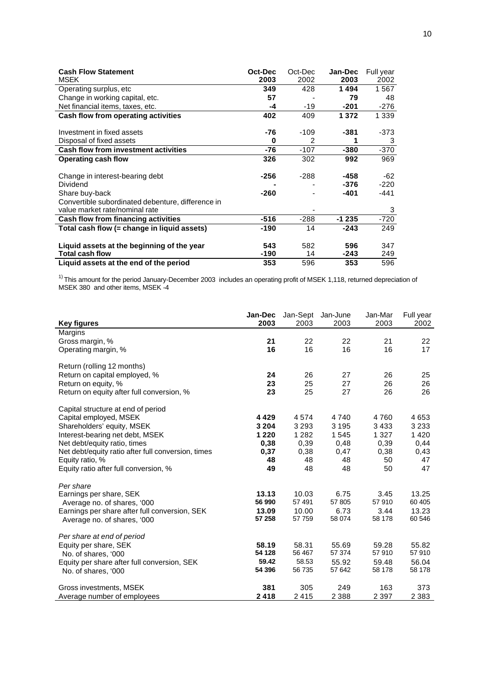| <b>Cash Flow Statement</b>                        | Oct-Dec | Oct-Dec | Jan-Dec | Full year |
|---------------------------------------------------|---------|---------|---------|-----------|
| <b>MSEK</b>                                       | 2003    | 2002    | 2003    | 2002      |
| Operating surplus, etc                            | 349     | 428     | 1494    | 1567      |
| Change in working capital, etc.                   | 57      |         | 79      | 48        |
| Net financial items, taxes, etc.                  | -4      | $-19$   | $-201$  | $-276$    |
| Cash flow from operating activities               | 402     | 409     | 1 3 7 2 | 1 3 3 9   |
|                                                   |         |         |         |           |
| Investment in fixed assets                        | -76     | $-109$  | -381    | -373      |
| Disposal of fixed assets                          | 0       | 2       |         | 3         |
| <b>Cash flow from investment activities</b>       | -76     | $-107$  | -380    | $-370$    |
| <b>Operating cash flow</b>                        | 326     | 302     | 992     | 969       |
|                                                   |         |         |         |           |
| Change in interest-bearing debt                   | -256    | $-288$  | -458    | -62       |
| Dividend                                          |         |         | -376    | $-220$    |
| Share buy-back                                    | -260    |         | -401    | -441      |
| Convertible subordinated debenture, difference in |         |         |         |           |
| value market rate/nominal rate                    |         |         |         | 3         |
| Cash flow from financing activities               | $-516$  | $-288$  | $-1235$ | $-720$    |
| Total cash flow (= change in liguid assets)       | -190    | 14      | $-243$  | 249       |
|                                                   |         |         |         |           |
| Liquid assets at the beginning of the year        | 543     | 582     | 596     | 347       |
| <b>Total cash flow</b>                            | -190    | 14      | -243    | 249       |
| Liquid assets at the end of the period            | 353     | 596     | 353     | 596       |

 $1)$  This amount for the period January-December 2003 includes an operating profit of MSEK 1,118, returned depreciation of MSEK 380 and other items, MSEK -4

| <b>Key figures</b>                                 | Jan-Dec<br>2003 | 2003    | Jan-Sept Jan-June<br>2003 | Jan-Mar<br>2003 | Full year<br>2002 |
|----------------------------------------------------|-----------------|---------|---------------------------|-----------------|-------------------|
| Margins                                            |                 |         |                           |                 |                   |
| Gross margin, %                                    | 21              | 22      | 22                        | 21              | 22                |
| Operating margin, %                                | 16              | 16      | 16                        | 16              | 17                |
| Return (rolling 12 months)                         |                 |         |                           |                 |                   |
| Return on capital employed, %                      | 24              | 26      | 27                        | 26              | 25                |
| Return on equity, %                                | 23              | 25      | 27                        | 26              | 26                |
| Return on equity after full conversion, %          | 23              | 25      | 27                        | 26              | 26                |
| Capital structure at end of period                 |                 |         |                           |                 |                   |
| Capital employed, MSEK                             | 4429            | 4574    | 4740                      | 4760            | 4653              |
| Shareholders' equity, MSEK                         | 3 2 0 4         | 3 2 9 3 | 3 1 9 5                   | 3433            | 3 2 3 3           |
| Interest-bearing net debt, MSEK                    | 1 2 2 0         | 1 2 8 2 | 1545                      | 1 3 2 7         | 1420              |
| Net debt/equity ratio, times                       | 0,38            | 0,39    | 0,48                      | 0,39            | 0,44              |
| Net debt/equity ratio after full conversion, times | 0,37            | 0,38    | 0,47                      | 0,38            | 0,43              |
| Equity ratio, %                                    | 48              | 48      | 48                        | 50              | 47                |
| Equity ratio after full conversion, %              | 49              | 48      | 48                        | 50              | 47                |
| Per share                                          |                 |         |                           |                 |                   |
| Earnings per share, SEK                            | 13.13           | 10.03   | 6.75                      | 3.45            | 13.25             |
| Average no. of shares, '000                        | 56 990          | 57 491  | 57 805                    | 57910           | 60 40 5           |
| Earnings per share after full conversion, SEK      | 13.09           | 10.00   | 6.73<br>58 074            | 3.44<br>58 178  | 13.23<br>60 546   |
| Average no. of shares, '000                        | 57 258          | 57 759  |                           |                 |                   |
| Per share at end of period                         |                 |         |                           |                 |                   |
| Equity per share, SEK                              | 58.19           | 58.31   | 55.69                     | 59.28           | 55.82             |
| No. of shares, '000                                | 54 128          | 56 467  | 57 374                    | 57910           | 57910             |
| Equity per share after full conversion, SEK        | 59.42           | 58.53   | 55.92                     | 59.48           | 56.04             |
| No. of shares, '000                                | 54 396          | 56 735  | 57 642                    | 58 178          | 58 178            |
| Gross investments, MSEK                            | 381             | 305     | 249                       | 163             | 373               |
| Average number of employees                        | 2418            | 2415    | 2 3 8 8                   | 2 3 9 7         | 2 3 8 3           |